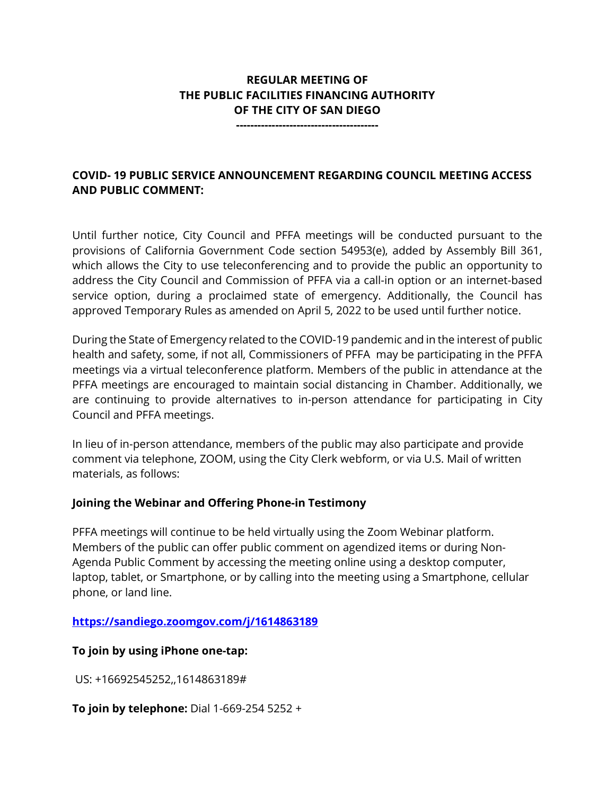# **REGULAR MEETING OF THE PUBLIC FACILITIES FINANCING AUTHORITY OF THE CITY OF SAN DIEGO**

**----------------------------------------**

# **COVID- 19 PUBLIC SERVICE ANNOUNCEMENT REGARDING COUNCIL MEETING ACCESS AND PUBLIC COMMENT:**

Until further notice, City Council and PFFA meetings will be conducted pursuant to the provisions of California Government Code section 54953(e), added by Assembly Bill 361, which allows the City to use teleconferencing and to provide the public an opportunity to address the City Council and Commission of PFFA via a call-in option or an internet-based service option, during a proclaimed state of emergency. Additionally, the Council has approved Temporary Rules as amended on April 5, 2022 to be used until further notice.

During the State of Emergency related to the COVID-19 pandemic and in the interest of public health and safety, some, if not all, Commissioners of PFFA may be participating in the PFFA meetings via a virtual teleconference platform. Members of the public in attendance at the PFFA meetings are encouraged to maintain social distancing in Chamber. Additionally, we are continuing to provide alternatives to in-person attendance for participating in City Council and PFFA meetings.

In lieu of in-person attendance, members of the public may also participate and provide comment via telephone, ZOOM, using the City Clerk webform, or via U.S. Mail of written materials, as follows:

#### **Joining the Webinar and Offering Phone-in Testimony**

PFFA meetings will continue to be held virtually using the Zoom Webinar platform. Members of the public can offer public comment on agendized items or during Non-Agenda Public Comment by accessing the meeting online using a desktop computer, laptop, tablet, or Smartphone, or by calling into the meeting using a Smartphone, cellular phone, or land line.

#### **<https://sandiego.zoomgov.com/j/1614863189>**

# **To join by using iPhone one-tap:**

US: +16692545252,,1614863189#

**To join by telephone:** Dial 1-669-254 5252 +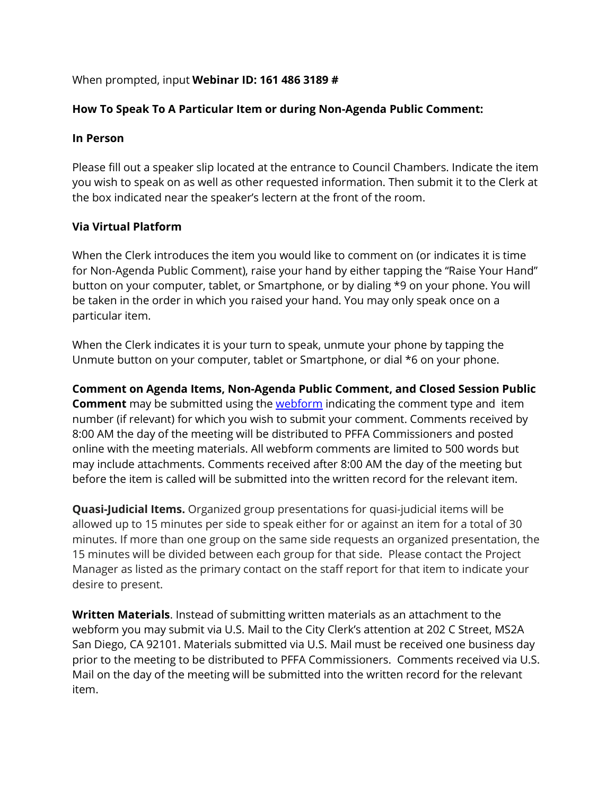### When prompted, input **Webinar ID: 161 486 3189 #**

## **How To Speak To A Particular Item or during Non-Agenda Public Comment:**

#### **In Person**

Please fill out a speaker slip located at the entrance to Council Chambers. Indicate the item you wish to speak on as well as other requested information. Then submit it to the Clerk at the box indicated near the speaker's lectern at the front of the room.

### **Via Virtual Platform**

When the Clerk introduces the item you would like to comment on (or indicates it is time for Non-Agenda Public Comment), raise your hand by either tapping the "Raise Your Hand" button on your computer, tablet, or Smartphone, or by dialing \*9 on your phone. You will be taken in the order in which you raised your hand. You may only speak once on a particular item.

When the Clerk indicates it is your turn to speak, unmute your phone by tapping the Unmute button on your computer, tablet or Smartphone, or dial \*6 on your phone.

**Comment on Agenda Items, Non-Agenda Public Comment, and Closed Session Public Comment** may be submitted using the [webform](https://www.sandiego.gov/form/agenda-comment-form) indicating the comment type and item number (if relevant) for which you wish to submit your comment. Comments received by 8:00 AM the day of the meeting will be distributed to PFFA Commissioners and posted online with the meeting materials. All webform comments are limited to 500 words but may include attachments. Comments received after 8:00 AM the day of the meeting but before the item is called will be submitted into the written record for the relevant item.

**Quasi-Judicial Items.** Organized group presentations for quasi-judicial items will be allowed up to 15 minutes per side to speak either for or against an item for a total of 30 minutes. If more than one group on the same side requests an organized presentation, the 15 minutes will be divided between each group for that side. Please contact the Project Manager as listed as the primary contact on the staff report for that item to indicate your desire to present.

**Written Materials**. Instead of submitting written materials as an attachment to the webform you may submit via U.S. Mail to the City Clerk's attention at 202 C Street, MS2A San Diego, CA 92101. Materials submitted via U.S. Mail must be received one business day prior to the meeting to be distributed to PFFA Commissioners. Comments received via U.S. Mail on the day of the meeting will be submitted into the written record for the relevant item.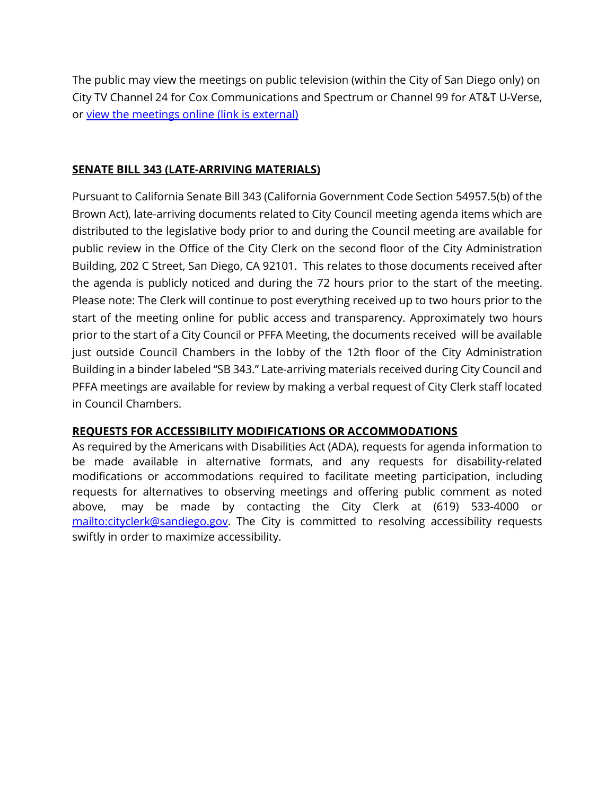The public may view the meetings on public television (within the City of San Diego only) on City TV Channel 24 for Cox Communications and Spectrum or Channel 99 for AT&T U-Verse, or view the meetings online (link is external)

#### **SENATE BILL 343 (LATE-ARRIVING MATERIALS)**

Pursuant to California Senate Bill 343 (California Government Code Section 54957.5(b) of the Brown Act), late-arriving documents related to City Council meeting agenda items which are distributed to the legislative body prior to and during the Council meeting are available for public review in the Office of the City Clerk on the second floor of the City Administration Building, 202 C Street, San Diego, CA 92101. This relates to those documents received after the agenda is publicly noticed and during the 72 hours prior to the start of the meeting. Please note: The Clerk will continue to post everything received up to two hours prior to the start of the meeting online for public access and transparency. Approximately two hours prior to the start of a City Council or PFFA Meeting, the documents received will be available just outside Council Chambers in the lobby of the 12th floor of the City Administration Building in a binder labeled "SB 343." Late-arriving materials received during City Council and PFFA meetings are available for review by making a verbal request of City Clerk staff located in Council Chambers.

#### **REQUESTS FOR ACCESSIBILITY MODIFICATIONS OR ACCOMMODATIONS**

As required by the Americans with Disabilities Act (ADA), requests for agenda information to be made available in alternative formats, and any requests for disability-related modifications or accommodations required to facilitate meeting participation, including requests for alternatives to observing meetings and offering public comment as noted above, may be made by contacting the City Clerk at (619) 533-4000 or [mailto:cityclerk@sandiego.gov.](mailto:cityclerk@sandiego.gov) The City is committed to resolving accessibility requests swiftly in order to maximize accessibility.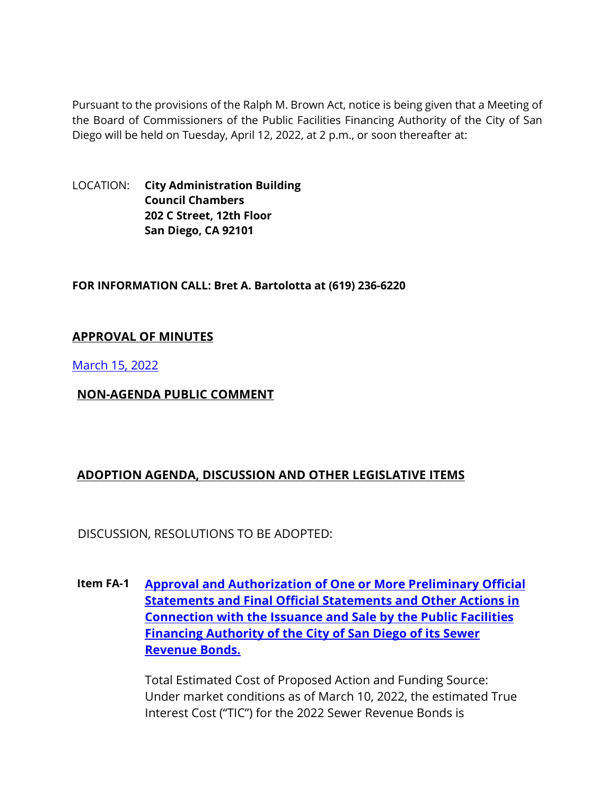Pursuant to the provisions of the Ralph M. Brown Act, notice is being given that a Meeting of the Board of Commissioners of the Public Facilities Financing Authority of the City of San Diego will be held on Tuesday, April 12, 2022, at 2 p.m., or soon thereafter at:

LOCATION: **City Administration Building Council Chambers 202 C Street, 12th Floor San Diego, CA 92101** 

#### **FOR INFORMATION CALL: Bret A. Bartolotta at (619) 236-6220**

### **APPROVAL OF MINUTES**

[March 15, 2022](https://www.sandiego.gov/sites/default/files/0315pffa.pdf)

## **NON-AGENDA PUBLIC COMMENT**

# **ADOPTION AGENDA, DISCUSSION AND OTHER LEGISLATIVE ITEMS**

DISCUSSION, RESOLUTIONS TO BE ADOPTED:

**Item FA-1 [Approval and Authorization of One or More Preliminary Official](https://www.sandiego.gov/sites/default/files/pffa_4-12.pdf)  [Statements and Final Official Statements and Other Actions in](https://www.sandiego.gov/sites/default/files/pffa_4-12.pdf)  [Connection with the Issuance and Sale by the Public Facilities](https://www.sandiego.gov/sites/default/files/pffa_4-12.pdf)  [Financing Authority of the City of San Diego of its Sewer](https://www.sandiego.gov/sites/default/files/pffa_4-12.pdf)  [Revenue Bonds.](https://www.sandiego.gov/sites/default/files/pffa_4-12.pdf)**

> Total Estimated Cost of Proposed Action and Funding Source: Under market conditions as of March 10, 2022, the estimated True Interest Cost ("TIC") for the 2022 Sewer Revenue Bonds is